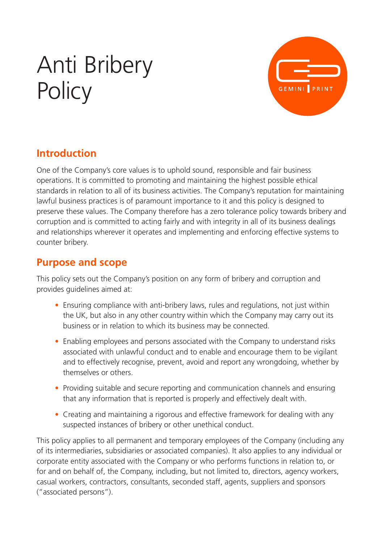# Anti Bribery **Policy**



#### **Introduction**

One of the Company's core values is to uphold sound, responsible and fair business operations. It is committed to promoting and maintaining the highest possible ethical standards in relation to all of its business activities. The Company's reputation for maintaining lawful business practices is of paramount importance to it and this policy is designed to preserve these values. The Company therefore has a zero tolerance policy towards bribery and corruption and is committed to acting fairly and with integrity in all of its business dealings and relationships wherever it operates and implementing and enforcing effective systems to counter bribery.

#### **Purpose and scope**

This policy sets out the Company's position on any form of bribery and corruption and provides guidelines aimed at:

- Ensuring compliance with anti-bribery laws, rules and regulations, not just within the UK, but also in any other country within which the Company may carry out its business or in relation to which its business may be connected.
- Enabling employees and persons associated with the Company to understand risks associated with unlawful conduct and to enable and encourage them to be vigilant and to effectively recognise, prevent, avoid and report any wrongdoing, whether by themselves or others.
- Providing suitable and secure reporting and communication channels and ensuring that any information that is reported is properly and effectively dealt with.
- Creating and maintaining a rigorous and effective framework for dealing with any suspected instances of bribery or other unethical conduct.

This policy applies to all permanent and temporary employees of the Company (including any of its intermediaries, subsidiaries or associated companies). It also applies to any individual or corporate entity associated with the Company or who performs functions in relation to, or for and on behalf of, the Company, including, but not limited to, directors, agency workers, casual workers, contractors, consultants, seconded staff, agents, suppliers and sponsors ("associated persons").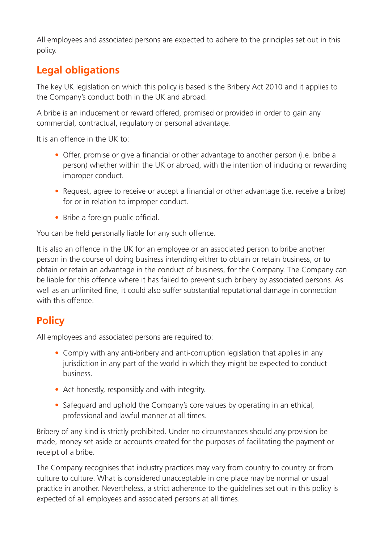All employees and associated persons are expected to adhere to the principles set out in this policy.

### **Legal obligations**

The key UK legislation on which this policy is based is the Bribery Act 2010 and it applies to the Company's conduct both in the UK and abroad.

A bribe is an inducement or reward offered, promised or provided in order to gain any commercial, contractual, regulatory or personal advantage.

It is an offence in the UK to:

- Offer, promise or give a financial or other advantage to another person (i.e. bribe a person) whether within the UK or abroad, with the intention of inducing or rewarding improper conduct.
- Request, agree to receive or accept a financial or other advantage (i.e. receive a bribe) for or in relation to improper conduct.
- Bribe a foreign public official.

You can be held personally liable for any such offence.

It is also an offence in the UK for an employee or an associated person to bribe another person in the course of doing business intending either to obtain or retain business, or to obtain or retain an advantage in the conduct of business, for the Company. The Company can be liable for this offence where it has failed to prevent such bribery by associated persons. As well as an unlimited fine, it could also suffer substantial reputational damage in connection with this offence.

#### **Policy**

All employees and associated persons are required to:

- Comply with any anti-bribery and anti-corruption legislation that applies in any jurisdiction in any part of the world in which they might be expected to conduct business.
- Act honestly, responsibly and with integrity.
- Safeguard and uphold the Company's core values by operating in an ethical, professional and lawful manner at all times.

Bribery of any kind is strictly prohibited. Under no circumstances should any provision be made, money set aside or accounts created for the purposes of facilitating the payment or receipt of a bribe.

The Company recognises that industry practices may vary from country to country or from culture to culture. What is considered unacceptable in one place may be normal or usual practice in another. Nevertheless, a strict adherence to the guidelines set out in this policy is expected of all employees and associated persons at all times.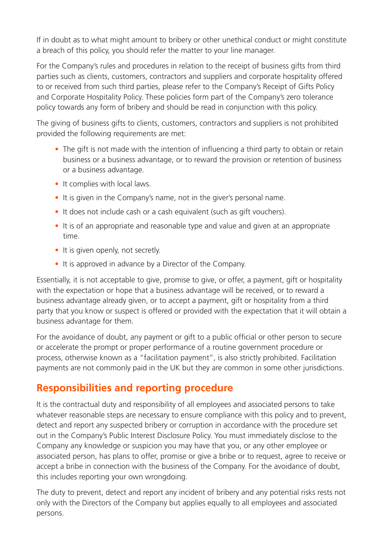If in doubt as to what might amount to bribery or other unethical conduct or might constitute a breach of this policy, you should refer the matter to your line manager.

For the Company's rules and procedures in relation to the receipt of business gifts from third parties such as clients, customers, contractors and suppliers and corporate hospitality offered to or received from such third parties, please refer to the Company's Receipt of Gifts Policy and Corporate Hospitality Policy. These policies form part of the Company's zero tolerance policy towards any form of bribery and should be read in conjunction with this policy.

The giving of business gifts to clients, customers, contractors and suppliers is not prohibited provided the following requirements are met:

- The gift is not made with the intention of influencing a third party to obtain or retain business or a business advantage, or to reward the provision or retention of business or a business advantage.
- It complies with local laws.
- It is given in the Company's name, not in the giver's personal name.
- It does not include cash or a cash equivalent (such as gift vouchers).
- It is of an appropriate and reasonable type and value and given at an appropriate time.
- It is given openly, not secretly.
- It is approved in advance by a Director of the Company.

Essentially, it is not acceptable to give, promise to give, or offer, a payment, gift or hospitality with the expectation or hope that a business advantage will be received, or to reward a business advantage already given, or to accept a payment, gift or hospitality from a third party that you know or suspect is offered or provided with the expectation that it will obtain a business advantage for them.

For the avoidance of doubt, any payment or gift to a public official or other person to secure or accelerate the prompt or proper performance of a routine government procedure or process, otherwise known as a "facilitation payment", is also strictly prohibited. Facilitation payments are not commonly paid in the UK but they are common in some other jurisdictions.

#### **Responsibilities and reporting procedure**

It is the contractual duty and responsibility of all employees and associated persons to take whatever reasonable steps are necessary to ensure compliance with this policy and to prevent, detect and report any suspected bribery or corruption in accordance with the procedure set out in the Company's Public Interest Disclosure Policy. You must immediately disclose to the Company any knowledge or suspicion you may have that you, or any other employee or associated person, has plans to offer, promise or give a bribe or to request, agree to receive or accept a bribe in connection with the business of the Company. For the avoidance of doubt, this includes reporting your own wrongdoing.

The duty to prevent, detect and report any incident of bribery and any potential risks rests not only with the Directors of the Company but applies equally to all employees and associated persons.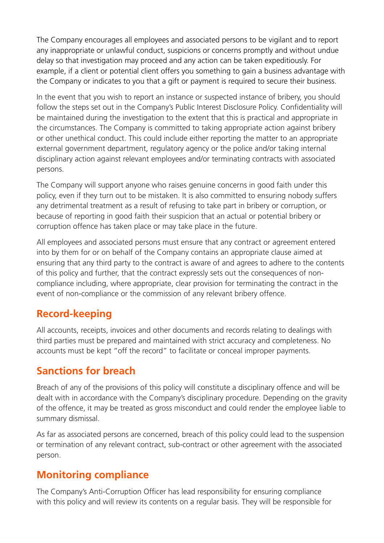The Company encourages all employees and associated persons to be vigilant and to report any inappropriate or unlawful conduct, suspicions or concerns promptly and without undue delay so that investigation may proceed and any action can be taken expeditiously. For example, if a client or potential client offers you something to gain a business advantage with the Company or indicates to you that a gift or payment is required to secure their business.

In the event that you wish to report an instance or suspected instance of bribery, you should follow the steps set out in the Company's Public Interest Disclosure Policy. Confidentiality will be maintained during the investigation to the extent that this is practical and appropriate in the circumstances. The Company is committed to taking appropriate action against bribery or other unethical conduct. This could include either reporting the matter to an appropriate external government department, regulatory agency or the police and/or taking internal disciplinary action against relevant employees and/or terminating contracts with associated persons.

The Company will support anyone who raises genuine concerns in good faith under this policy, even if they turn out to be mistaken. It is also committed to ensuring nobody suffers any detrimental treatment as a result of refusing to take part in bribery or corruption, or because of reporting in good faith their suspicion that an actual or potential bribery or corruption offence has taken place or may take place in the future.

All employees and associated persons must ensure that any contract or agreement entered into by them for or on behalf of the Company contains an appropriate clause aimed at ensuring that any third party to the contract is aware of and agrees to adhere to the contents of this policy and further, that the contract expressly sets out the consequences of noncompliance including, where appropriate, clear provision for terminating the contract in the event of non-compliance or the commission of any relevant bribery offence.

#### **Record-keeping**

All accounts, receipts, invoices and other documents and records relating to dealings with third parties must be prepared and maintained with strict accuracy and completeness. No accounts must be kept "off the record" to facilitate or conceal improper payments.

#### **Sanctions for breach**

Breach of any of the provisions of this policy will constitute a disciplinary offence and will be dealt with in accordance with the Company's disciplinary procedure. Depending on the gravity of the offence, it may be treated as gross misconduct and could render the employee liable to summary dismissal.

As far as associated persons are concerned, breach of this policy could lead to the suspension or termination of any relevant contract, sub-contract or other agreement with the associated person.

#### **Monitoring compliance**

The Company's Anti-Corruption Officer has lead responsibility for ensuring compliance with this policy and will review its contents on a regular basis. They will be responsible for